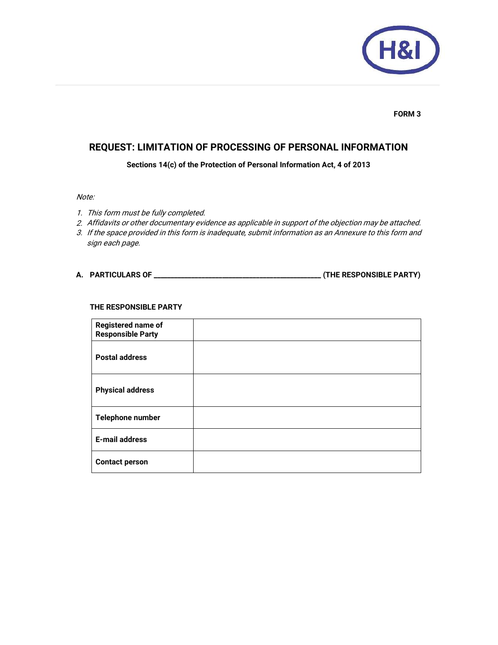

#### **FORM 3**

# **REQUEST: LIMITATION OF PROCESSING OF PERSONAL INFORMATION**

**Sections 14(c) of the Protection of Personal Information Act, 4 of 2013** 

## Note:

- 1. This form must be fully completed.
- 2. Affidavits or other documentary evidence as applicable in support of the objection may be attached.
- 3. If the space provided in this form is inadequate, submit information as an Annexure to this form and sign each page.

## **A. PARTICULARS OF \_\_\_\_\_\_\_\_\_\_\_\_\_\_\_\_\_\_\_\_\_\_\_\_\_\_\_\_\_\_\_\_\_\_\_\_\_\_\_\_\_\_\_\_\_\_\_\_\_ (THE RESPONSIBLE PARTY)**

#### **THE RESPONSIBLE PARTY**

| <b>Registered name of</b><br><b>Responsible Party</b> |  |
|-------------------------------------------------------|--|
| <b>Postal address</b>                                 |  |
| <b>Physical address</b>                               |  |
| Telephone number                                      |  |
| <b>E-mail address</b>                                 |  |
| <b>Contact person</b>                                 |  |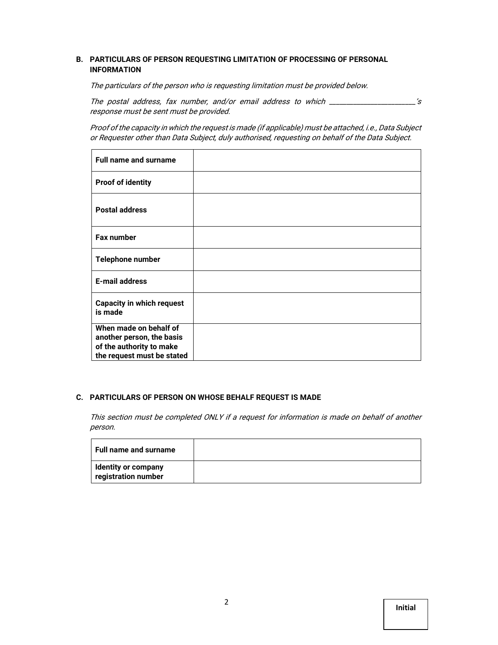## **B. PARTICULARS OF PERSON REQUESTING LIMITATION OF PROCESSING OF PERSONAL INFORMATION**

The particulars of the person who is requesting limitation must be provided below.

The postal address, fax number, and/or email address to which \_\_\_\_\_\_\_\_\_\_\_\_\_\_\_\_\_\_\_\_\_\_\_'s response must be sent must be provided.

Proof of the capacity in which the request is made (if applicable) must be attached, i.e., Data Subject or Requester other than Data Subject, duly authorised, requesting on behalf of the Data Subject.

| <b>Full name and surname</b>                                                                                  |  |
|---------------------------------------------------------------------------------------------------------------|--|
| <b>Proof of identity</b>                                                                                      |  |
| <b>Postal address</b>                                                                                         |  |
| Fax number                                                                                                    |  |
| Telephone number                                                                                              |  |
| <b>E-mail address</b>                                                                                         |  |
| <b>Capacity in which request</b><br>is made                                                                   |  |
| When made on behalf of<br>another person, the basis<br>of the authority to make<br>the request must be stated |  |

#### **C. PARTICULARS OF PERSON ON WHOSE BEHALF REQUEST IS MADE**

This section must be completed ONLY if a request for information is made on behalf of another person.

| <b>Full name and surname</b>                      |  |
|---------------------------------------------------|--|
| <b>Identity or company</b><br>registration number |  |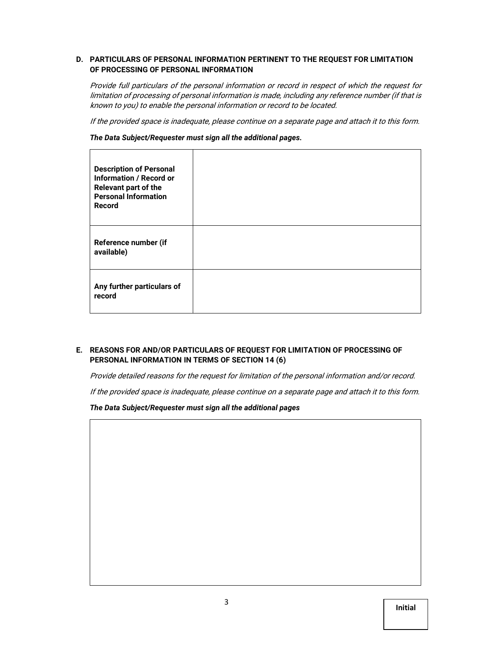#### **D. PARTICULARS OF PERSONAL INFORMATION PERTINENT TO THE REQUEST FOR LIMITATION OF PROCESSING OF PERSONAL INFORMATION**

Provide full particulars of the personal information or record in respect of which the request for limitation of processing of personal information is made, including any reference number (if that is known to you) to enable the personal information or record to be located.

If the provided space is inadequate, please continue on a separate page and attach it to this form.

*The Data Subject/Requester must sign all the additional pages.* 

| <b>Description of Personal</b><br><b>Information / Record or</b><br><b>Relevant part of the</b><br><b>Personal Information</b><br>Record |  |
|------------------------------------------------------------------------------------------------------------------------------------------|--|
| Reference number (if<br>available)                                                                                                       |  |
| Any further particulars of<br>record                                                                                                     |  |

## **E. REASONS FOR AND/OR PARTICULARS OF REQUEST FOR LIMITATION OF PROCESSING OF PERSONAL INFORMATION IN TERMS OF SECTION 14 (6)**

Provide detailed reasons for the request for limitation of the personal information and/or record.

If the provided space is inadequate, please continue on a separate page and attach it to this form.

*The Data Subject/Requester must sign all the additional pages* 

| ⌒ |  |         |
|---|--|---------|
| 3 |  |         |
|   |  | Initial |
|   |  |         |
|   |  |         |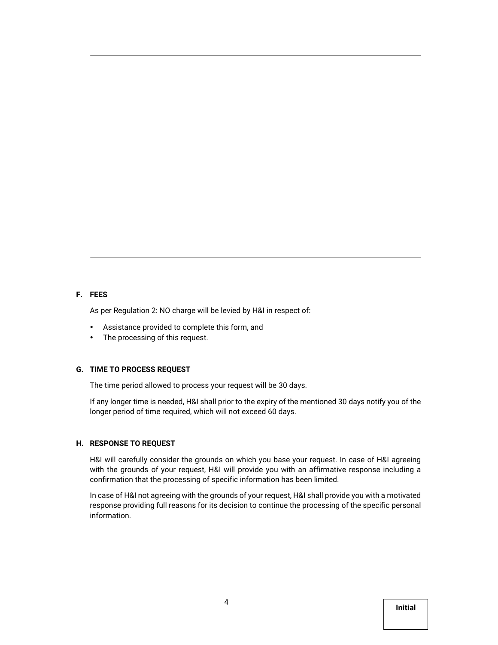#### **F. FEES**

As per Regulation 2: NO charge will be levied by H&I in respect of:

- Assistance provided to complete this form, and
- The processing of this request.

#### **G. TIME TO PROCESS REQUEST**

The time period allowed to process your request will be 30 days.

If any longer time is needed, H&I shall prior to the expiry of the mentioned 30 days notify you of the longer period of time required, which will not exceed 60 days.

#### **H. RESPONSE TO REQUEST**

H&I will carefully consider the grounds on which you base your request. In case of H&I agreeing with the grounds of your request, H&I will provide you with an affirmative response including a confirmation that the processing of specific information has been limited.

In case of H&I not agreeing with the grounds of your request, H&I shall provide you with a motivated response providing full reasons for its decision to continue the processing of the specific personal information.